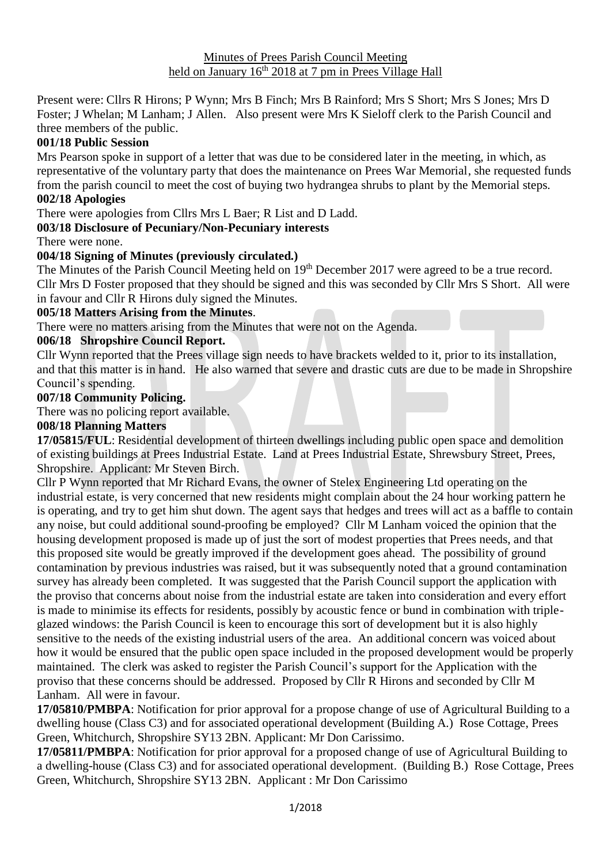Present were: Cllrs R Hirons; P Wynn; Mrs B Finch; Mrs B Rainford; Mrs S Short; Mrs S Jones; Mrs D Foster; J Whelan; M Lanham; J Allen. Also present were Mrs K Sieloff clerk to the Parish Council and three members of the public.

# **001/18 Public Session**

Mrs Pearson spoke in support of a letter that was due to be considered later in the meeting, in which, as representative of the voluntary party that does the maintenance on Prees War Memorial, she requested funds from the parish council to meet the cost of buying two hydrangea shrubs to plant by the Memorial steps. **002/18 Apologies**

There were apologies from Cllrs Mrs L Baer; R List and D Ladd.

# **003/18 Disclosure of Pecuniary/Non-Pecuniary interests**

There were none.

### **004/18 Signing of Minutes (previously circulated.)**

The Minutes of the Parish Council Meeting held on 19<sup>th</sup> December 2017 were agreed to be a true record. Cllr Mrs D Foster proposed that they should be signed and this was seconded by Cllr Mrs S Short. All were in favour and Cllr R Hirons duly signed the Minutes.

### **005/18 Matters Arising from the Minutes**.

There were no matters arising from the Minutes that were not on the Agenda.

### **006/18 Shropshire Council Report.**

Cllr Wynn reported that the Prees village sign needs to have brackets welded to it, prior to its installation, and that this matter is in hand. He also warned that severe and drastic cuts are due to be made in Shropshire Council's spending.

### **007/18 Community Policing.**

There was no policing report available.

# **008/18 Planning Matters**

**17/05815/FUL**: Residential development of thirteen dwellings including public open space and demolition of existing buildings at Prees Industrial Estate. Land at Prees Industrial Estate, Shrewsbury Street, Prees, Shropshire. Applicant: Mr Steven Birch.

Cllr P Wynn reported that Mr Richard Evans, the owner of Stelex Engineering Ltd operating on the industrial estate, is very concerned that new residents might complain about the 24 hour working pattern he is operating, and try to get him shut down. The agent says that hedges and trees will act as a baffle to contain any noise, but could additional sound-proofing be employed? Cllr M Lanham voiced the opinion that the housing development proposed is made up of just the sort of modest properties that Prees needs, and that this proposed site would be greatly improved if the development goes ahead. The possibility of ground contamination by previous industries was raised, but it was subsequently noted that a ground contamination survey has already been completed. It was suggested that the Parish Council support the application with the proviso that concerns about noise from the industrial estate are taken into consideration and every effort is made to minimise its effects for residents, possibly by acoustic fence or bund in combination with tripleglazed windows: the Parish Council is keen to encourage this sort of development but it is also highly sensitive to the needs of the existing industrial users of the area. An additional concern was voiced about how it would be ensured that the public open space included in the proposed development would be properly maintained. The clerk was asked to register the Parish Council's support for the Application with the proviso that these concerns should be addressed. Proposed by Cllr R Hirons and seconded by Cllr M Lanham. All were in favour.

**17/05810/PMBPA**: Notification for prior approval for a propose change of use of Agricultural Building to a dwelling house (Class C3) and for associated operational development (Building A.) Rose Cottage, Prees Green, Whitchurch, Shropshire SY13 2BN. Applicant: Mr Don Carissimo.

**17/05811/PMBPA**: Notification for prior approval for a proposed change of use of Agricultural Building to a dwelling-house (Class C3) and for associated operational development. (Building B.) Rose Cottage, Prees Green, Whitchurch, Shropshire SY13 2BN. Applicant : Mr Don Carissimo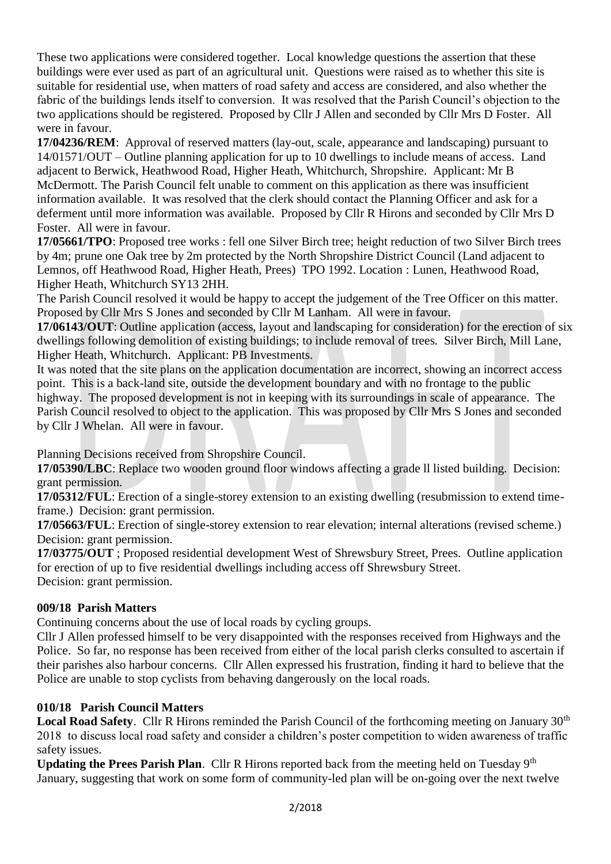These two applications were considered together. Local knowledge questions the assertion that these buildings were ever used as part of an agricultural unit. Questions were raised as to whether this site is suitable for residential use, when matters of road safety and access are considered, and also whether the fabric of the buildings lends itself to conversion. It was resolved that the Parish Council's objection to the two applications should be registered. Proposed by Cllr J Allen and seconded by Cllr Mrs D Foster. All were in favour.

**17/04236/REM**: Approval of reserved matters (lay-out, scale, appearance and landscaping) pursuant to 14/01571/OUT – Outline planning application for up to 10 dwellings to include means of access. Land adjacent to Berwick, Heathwood Road, Higher Heath, Whitchurch, Shropshire. Applicant: Mr B McDermott. The Parish Council felt unable to comment on this application as there was insufficient information available. It was resolved that the clerk should contact the Planning Officer and ask for a deferment until more information was available. Proposed by Cllr R Hirons and seconded by Cllr Mrs D Foster. All were in favour.

**17/05661/TPO**: Proposed tree works : fell one Silver Birch tree; height reduction of two Silver Birch trees by 4m; prune one Oak tree by 2m protected by the North Shropshire District Council (Land adjacent to Lemnos, off Heathwood Road, Higher Heath, Prees) TPO 1992. Location : Lunen, Heathwood Road, Higher Heath, Whitchurch SY13 2HH.

The Parish Council resolved it would be happy to accept the judgement of the Tree Officer on this matter. Proposed by Cllr Mrs S Jones and seconded by Cllr M Lanham. All were in favour.

**17/06143/OUT**: Outline application (access, layout and landscaping for consideration) for the erection of six dwellings following demolition of existing buildings; to include removal of trees. Silver Birch, Mill Lane, Higher Heath, Whitchurch. Applicant: PB Investments.

It was noted that the site plans on the application documentation are incorrect, showing an incorrect access point. This is a back-land site, outside the development boundary and with no frontage to the public highway. The proposed development is not in keeping with its surroundings in scale of appearance. The Parish Council resolved to object to the application. This was proposed by Cllr Mrs S Jones and seconded by Cllr J Whelan. All were in favour.

Planning Decisions received from Shropshire Council.

**17/05390/LBC**: Replace two wooden ground floor windows affecting a grade ll listed building. Decision: grant permission.

**17/05312/FUL**: Erection of a single-storey extension to an existing dwelling (resubmission to extend timeframe.) Decision: grant permission.

**17/05663/FUL**: Erection of single-storey extension to rear elevation; internal alterations (revised scheme.) Decision: grant permission.

**17/03775/OUT** ; Proposed residential development West of Shrewsbury Street, Prees. Outline application for erection of up to five residential dwellings including access off Shrewsbury Street. Decision: grant permission.

# **009/18 Parish Matters**

Continuing concerns about the use of local roads by cycling groups.

Cllr J Allen professed himself to be very disappointed with the responses received from Highways and the Police. So far, no response has been received from either of the local parish clerks consulted to ascertain if their parishes also harbour concerns. Cllr Allen expressed his frustration, finding it hard to believe that the Police are unable to stop cyclists from behaving dangerously on the local roads.

# **010/18 Parish Council Matters**

Local Road Safety. Cllr R Hirons reminded the Parish Council of the forthcoming meeting on January 30<sup>th</sup> 2018 to discuss local road safety and consider a children's poster competition to widen awareness of traffic safety issues.

Updating the Prees Parish Plan. Cllr R Hirons reported back from the meeting held on Tuesday 9<sup>th</sup> January, suggesting that work on some form of community-led plan will be on-going over the next twelve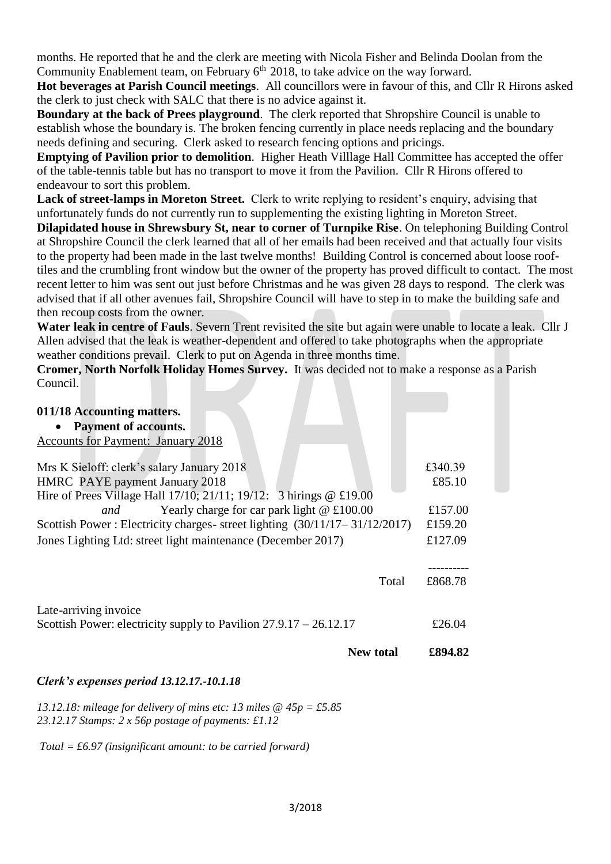months. He reported that he and the clerk are meeting with Nicola Fisher and Belinda Doolan from the Community Enablement team, on February 6<sup>th</sup> 2018, to take advice on the way forward.

**Hot beverages at Parish Council meetings**. All councillors were in favour of this, and Cllr R Hirons asked the clerk to just check with SALC that there is no advice against it.

**Boundary at the back of Prees playground**. The clerk reported that Shropshire Council is unable to establish whose the boundary is. The broken fencing currently in place needs replacing and the boundary needs defining and securing. Clerk asked to research fencing options and pricings.

**Emptying of Pavilion prior to demolition**. Higher Heath Villlage Hall Committee has accepted the offer of the table-tennis table but has no transport to move it from the Pavilion. Cllr R Hirons offered to endeavour to sort this problem.

**Lack of street-lamps in Moreton Street.** Clerk to write replying to resident's enquiry, advising that unfortunately funds do not currently run to supplementing the existing lighting in Moreton Street.

**Dilapidated house in Shrewsbury St, near to corner of Turnpike Rise**. On telephoning Building Control at Shropshire Council the clerk learned that all of her emails had been received and that actually four visits to the property had been made in the last twelve months! Building Control is concerned about loose rooftiles and the crumbling front window but the owner of the property has proved difficult to contact. The most recent letter to him was sent out just before Christmas and he was given 28 days to respond. The clerk was advised that if all other avenues fail, Shropshire Council will have to step in to make the building safe and then recoup costs from the owner.

**Water leak in centre of Fauls**. Severn Trent revisited the site but again were unable to locate a leak. Cllr J Allen advised that the leak is weather-dependent and offered to take photographs when the appropriate weather conditions prevail. Clerk to put on Agenda in three months time.

**Cromer, North Norfolk Holiday Homes Survey.** It was decided not to make a response as a Parish Council.

| 011/18 Accounting matters.                                                |         |
|---------------------------------------------------------------------------|---------|
| <b>Payment of accounts.</b>                                               |         |
| <b>Accounts for Payment: January 2018</b>                                 |         |
|                                                                           |         |
| Mrs K Sieloff: clerk's salary January 2018                                | £340.39 |
| HMRC PAYE payment January 2018                                            | £85.10  |
| Hire of Prees Village Hall 17/10; 21/11; 19/12: 3 hirings @ £19.00        |         |
| Yearly charge for car park light $@f100.00$<br>and                        | £157.00 |
| Scottish Power: Electricity charges-street lighting (30/11/17-31/12/2017) | £159.20 |
| Jones Lighting Ltd: street light maintenance (December 2017)              | £127.09 |
|                                                                           |         |
| Total                                                                     | £868.78 |
| Late-arriving invoice                                                     |         |
| Scottish Power: electricity supply to Pavilion $27.9.17 - 26.12.17$       | £26.04  |
| <b>New total</b>                                                          | £894.82 |

# *Clerk's expenses period 13.12.17.-10.1.18*

*13.12.18: mileage for delivery of mins etc: 13 miles @ 45p = £5.85 23.12.17 Stamps: 2 x 56p postage of payments: £1.12* 

*Total = £6.97 (insignificant amount: to be carried forward)*